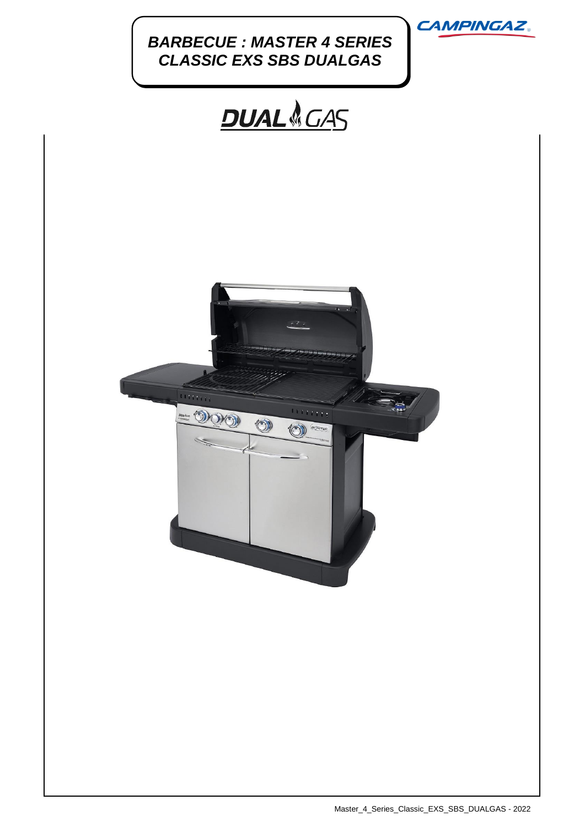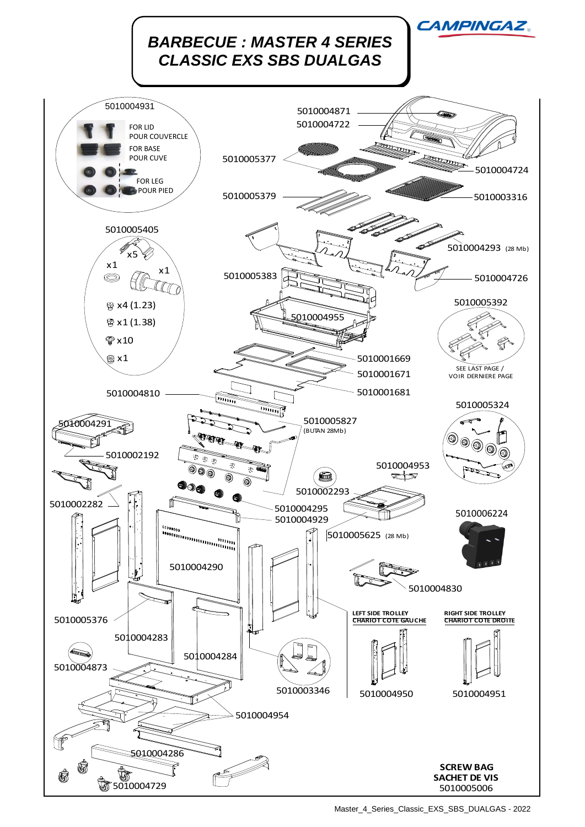

Master\_4\_Series\_Classic\_EXS\_SBS\_DUALGAS - 2022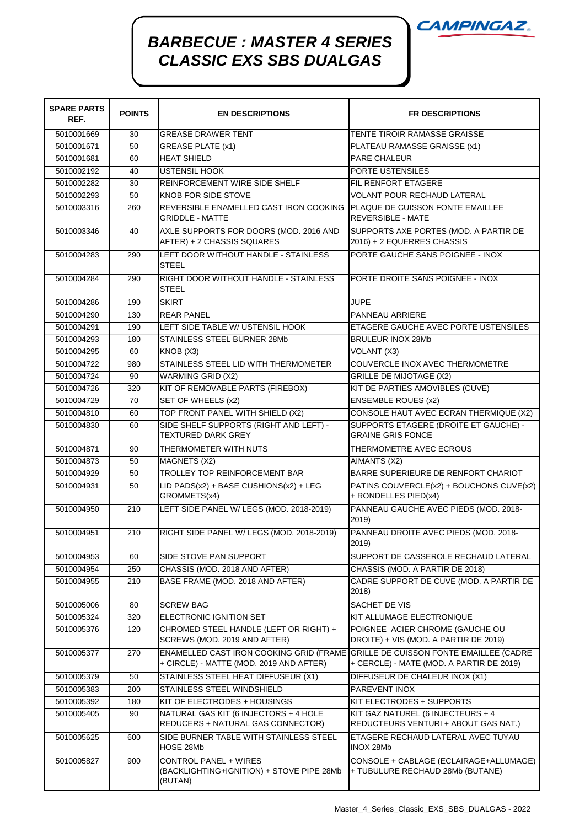

## *BARBECUE : MASTER 4 SERIES CLASSIC EXS SBS DUALGAS*

| <b>SPARE PARTS</b><br>REF. | <b>POINTS</b> | <b>EN DESCRIPTIONS</b>                                                                              | <b>FR DESCRIPTIONS</b>                                                              |
|----------------------------|---------------|-----------------------------------------------------------------------------------------------------|-------------------------------------------------------------------------------------|
| 5010001669                 | 30            | <b>GREASE DRAWER TENT</b>                                                                           | TENTE TIROIR RAMASSE GRAISSE                                                        |
| 5010001671                 | 50            | <b>GREASE PLATE (x1)</b>                                                                            | PLATEAU RAMASSE GRAISSE (x1)                                                        |
| 5010001681                 | 60            | <b>HEAT SHIELD</b>                                                                                  | <b>PARE CHALEUR</b>                                                                 |
| 5010002192                 | 40            | <b>USTENSIL HOOK</b>                                                                                | PORTE USTENSILES                                                                    |
| 5010002282                 | 30            | REINFORCEMENT WIRE SIDE SHELF                                                                       | FIL RENFORT ETAGERE                                                                 |
| 5010002293                 | 50            | <b>KNOB FOR SIDE STOVE</b>                                                                          | <b>VOLANT POUR RECHAUD LATERAL</b>                                                  |
| 5010003316                 | 260           | REVERSIBLE ENAMELLED CAST IRON COOKING   PLAQUE DE CUISSON FONTE EMAILLEE<br><b>GRIDDLE - MATTE</b> | <b>REVERSIBLE - MATE</b>                                                            |
| 5010003346                 | 40            | AXLE SUPPORTS FOR DOORS (MOD. 2016 AND<br>AFTER) + 2 CHASSIS SQUARES                                | SUPPORTS AXE PORTES (MOD. A PARTIR DE<br>2016) + 2 EQUERRES CHASSIS                 |
| 5010004283                 | 290           | LEFT DOOR WITHOUT HANDLE - STAINLESS<br><b>STEEL</b>                                                | PORTE GAUCHE SANS POIGNEE - INOX                                                    |
| 5010004284                 | 290           | RIGHT DOOR WITHOUT HANDLE - STAINLESS<br><b>STEEL</b>                                               | PORTE DROITE SANS POIGNEE - INOX                                                    |
| 5010004286                 | 190           | <b>SKIRT</b>                                                                                        | <b>JUPE</b>                                                                         |
| 5010004290                 | 130           | <b>REAR PANEL</b>                                                                                   | PANNEAU ARRIERE                                                                     |
| 5010004291                 | 190           | LEFT SIDE TABLE W/ USTENSIL HOOK                                                                    | ETAGERE GAUCHE AVEC PORTE USTENSILES                                                |
| 5010004293                 | 180           | STAINLESS STEEL BURNER 28Mb                                                                         | <b>BRULEUR INOX 28Mb</b>                                                            |
| 5010004295                 | 60            | KNOB (X3)                                                                                           | VOLANT (X3)                                                                         |
| 5010004722                 | 980           | STAINLESS STEEL LID WITH THERMOMETER                                                                | COUVERCLE INOX AVEC THERMOMETRE                                                     |
| 5010004724                 | 90            | <b>WARMING GRID (X2)</b>                                                                            | <b>GRILLE DE MIJOTAGE (X2)</b>                                                      |
| 5010004726                 | 320           | KIT OF REMOVABLE PARTS (FIREBOX)                                                                    | KIT DE PARTIES AMOVIBLES (CUVE)                                                     |
| 5010004729                 | 70            | SET OF WHEELS (x2)                                                                                  | <b>ENSEMBLE ROUES (x2)</b>                                                          |
| 5010004810                 | 60            | TOP FRONT PANEL WITH SHIELD (X2)                                                                    | CONSOLE HAUT AVEC ECRAN THERMIQUE (X2)                                              |
| 5010004830                 | 60            | SIDE SHELF SUPPORTS (RIGHT AND LEFT) -<br><b>TEXTURED DARK GREY</b>                                 | SUPPORTS ETAGERE (DROITE ET GAUCHE) -<br><b>GRAINE GRIS FONCE</b>                   |
| 5010004871                 | 90            | THERMOMETER WITH NUTS                                                                               | THERMOMETRE AVEC ECROUS                                                             |
| 5010004873                 | 50            | <b>MAGNETS (X2)</b>                                                                                 | AIMANTS (X2)                                                                        |
| 5010004929                 | 50            | TROLLEY TOP REINFORCEMENT BAR                                                                       | BARRE SUPERIEURE DE RENFORT CHARIOT                                                 |
| 5010004931                 | 50            | LID PADS(x2) + BASE CUSHIONS(x2) + LEG<br>GROMMETS(x4)                                              | PATINS COUVERCLE(x2) + BOUCHONS CUVE(x2)<br>+ RONDELLES PIED(x4)                    |
| 5010004950                 | 210           | LEFT SIDE PANEL W/ LEGS (MOD. 2018-2019)                                                            | PANNEAU GAUCHE AVEC PIEDS (MOD. 2018-<br>2019)                                      |
| 5010004951                 | 210           | RIGHT SIDE PANEL W/ LEGS (MOD. 2018-2019)                                                           | PANNEAU DROITE AVEC PIEDS (MOD. 2018-<br>2019)                                      |
| 5010004953                 | 60            | SIDE STOVE PAN SUPPORT                                                                              | SUPPORT DE CASSEROLE RECHAUD LATERAL                                                |
| 5010004954                 | 250           | CHASSIS (MOD. 2018 AND AFTER)                                                                       | CHASSIS (MOD. A PARTIR DE 2018)                                                     |
| 5010004955                 | 210           | BASE FRAME (MOD. 2018 AND AFTER)                                                                    | CADRE SUPPORT DE CUVE (MOD. A PARTIR DE<br>2018)                                    |
| 5010005006                 | 80            | <b>SCREW BAG</b>                                                                                    | SACHET DE VIS                                                                       |
| 5010005324                 | 320           | ELECTRONIC IGNITION SET                                                                             | KIT ALLUMAGE ELECTRONIQUE                                                           |
| 5010005376                 | 120           | CHROMED STEEL HANDLE (LEFT OR RIGHT) +<br>SCREWS (MOD. 2019 AND AFTER)                              | POIGNEE ACIER CHROME (GAUCHE OU<br>DROITE) + VIS (MOD. A PARTIR DE 2019)            |
| 5010005377                 | 270           | ENAMELLED CAST IRON COOKING GRID (FRAME<br>+ CIRCLE) - MATTE (MOD. 2019 AND AFTER)                  | GRILLE DE CUISSON FONTE EMAILLEE (CADRE<br>+ CERCLE) - MATE (MOD. A PARTIR DE 2019) |
| 5010005379                 | 50            | STAINLESS STEEL HEAT DIFFUSEUR (X1)                                                                 | DIFFUSEUR DE CHALEUR INOX (X1)                                                      |
| 5010005383                 | 200           | STAINLESS STEEL WINDSHIELD                                                                          | PAREVENT INOX                                                                       |
| 5010005392                 | 180           | KIT OF ELECTRODES + HOUSINGS                                                                        | KIT ELECTRODES + SUPPORTS                                                           |
| 5010005405                 | 90            | NATURAL GAS KIT (6 INJECTORS + 4 HOLE<br>REDUCERS + NATURAL GAS CONNECTOR)                          | KIT GAZ NATUREL (6 INJECTEURS + 4<br>REDUCTEURS VENTURI + ABOUT GAS NAT.)           |
| 5010005625                 | 600           | SIDE BURNER TABLE WITH STAINLESS STEEL<br>HOSE 28Mb                                                 | ETAGERE RECHAUD LATERAL AVEC TUYAU<br>INOX 28Mb                                     |
| 5010005827                 | 900           | <b>CONTROL PANEL + WIRES</b><br>(BACKLIGHTING+IGNITION) + STOVE PIPE 28Mb<br>(BUTAN)                | CONSOLE + CABLAGE (ECLAIRAGE+ALLUMAGE)<br>+ TUBULURE RECHAUD 28Mb (BUTANE)          |